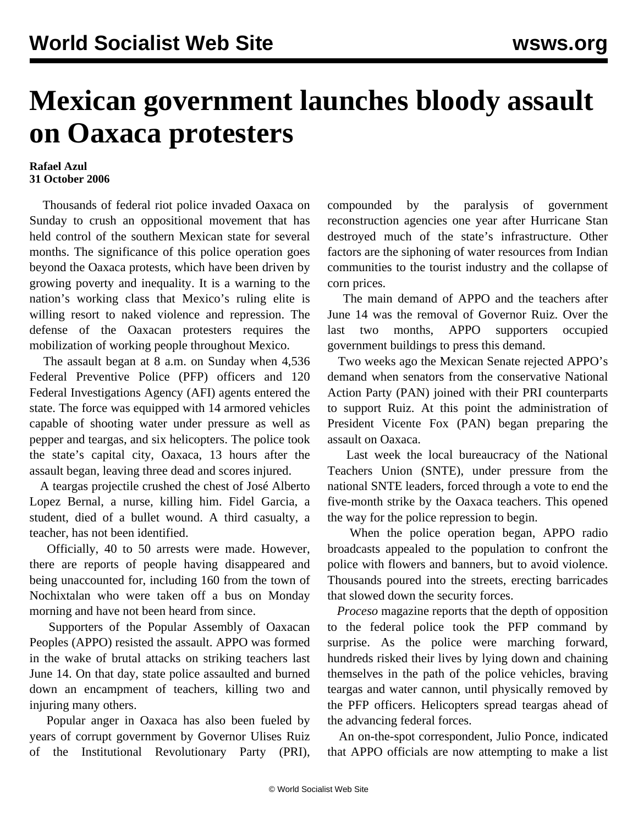## **Mexican government launches bloody assault on Oaxaca protesters**

## **Rafael Azul 31 October 2006**

 Thousands of federal riot police invaded Oaxaca on Sunday to crush an oppositional movement that has held control of the southern Mexican state for several months. The significance of this police operation goes beyond the Oaxaca protests, which have been driven by growing poverty and inequality. It is a warning to the nation's working class that Mexico's ruling elite is willing resort to naked violence and repression. The defense of the Oaxacan protesters requires the mobilization of working people throughout Mexico.

 The assault began at 8 a.m. on Sunday when 4,536 Federal Preventive Police (PFP) officers and 120 Federal Investigations Agency (AFI) agents entered the state. The force was equipped with 14 armored vehicles capable of shooting water under pressure as well as pepper and teargas, and six helicopters. The police took the state's capital city, Oaxaca, 13 hours after the assault began, leaving three dead and scores injured.

 A teargas projectile crushed the chest of José Alberto Lopez Bernal, a nurse, killing him. Fidel Garcia, a student, died of a bullet wound. A third casualty, a teacher, has not been identified.

 Officially, 40 to 50 arrests were made. However, there are reports of people having disappeared and being unaccounted for, including 160 from the town of Nochixtalan who were taken off a bus on Monday morning and have not been heard from since.

 Supporters of the Popular Assembly of Oaxacan Peoples (APPO) resisted the assault. APPO was formed in the wake of brutal attacks on striking teachers last June 14. On that day, state police assaulted and burned down an encampment of teachers, killing two and injuring many others.

 Popular anger in Oaxaca has also been fueled by years of corrupt government by Governor Ulises Ruiz of the Institutional Revolutionary Party (PRI),

compounded by the paralysis of government reconstruction agencies one year after Hurricane Stan destroyed much of the state's infrastructure. Other factors are the siphoning of water resources from Indian communities to the tourist industry and the collapse of corn prices.

 The main demand of APPO and the teachers after June 14 was the removal of Governor Ruiz. Over the last two months, APPO supporters occupied government buildings to press this demand.

 Two weeks ago the Mexican Senate rejected APPO's demand when senators from the conservative National Action Party (PAN) joined with their PRI counterparts to support Ruiz. At this point the administration of President Vicente Fox (PAN) began preparing the assault on Oaxaca.

 Last week the local bureaucracy of the National Teachers Union (SNTE), under pressure from the national SNTE leaders, forced through a vote to end the five-month strike by the Oaxaca teachers. This opened the way for the police repression to begin.

 When the police operation began, APPO radio broadcasts appealed to the population to confront the police with flowers and banners, but to avoid violence. Thousands poured into the streets, erecting barricades that slowed down the security forces.

 *Proceso* magazine reports that the depth of opposition to the federal police took the PFP command by surprise. As the police were marching forward, hundreds risked their lives by lying down and chaining themselves in the path of the police vehicles, braving teargas and water cannon, until physically removed by the PFP officers. Helicopters spread teargas ahead of the advancing federal forces.

 An on-the-spot correspondent, Julio Ponce, indicated that APPO officials are now attempting to make a list